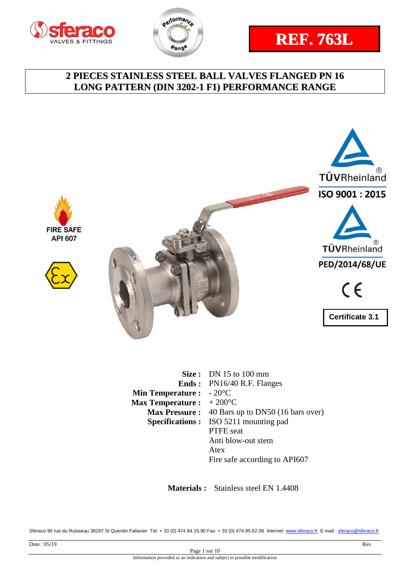







|                                           | <b>Size:</b> DN 15 to 100 mm                 |
|-------------------------------------------|----------------------------------------------|
|                                           | <b>Ends:</b> PN16/40 R.F. Flanges            |
| <b>Min Temperature :</b> $-20^{\circ}$ C  |                                              |
| <b>Max Temperature :</b> $+200^{\circ}$ C |                                              |
| <b>Max Pressure :</b>                     | 40 Bars up to DN50 (16 bars over)            |
|                                           | <b>Specifications:</b> ISO 5211 mounting pad |
|                                           | <b>PTFE</b> seat                             |
|                                           | Anti blow-out stem                           |
|                                           | Atex                                         |
|                                           | Fire safe according to API607                |

 **Materials :** Stainless steel EN 1.4408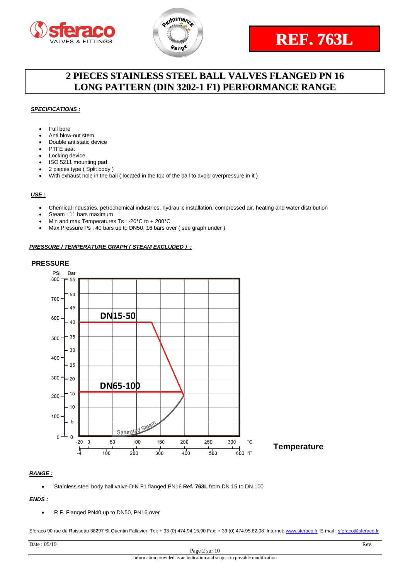



#### *SPECIFICATIONS :*

- Full bore
- Anti blow-out stem
- Double antistatic device
- PTFE seat
- Locking device
- ISO 5211 mounting pad
- 2 pieces type ( Split body )
- With exhaust hole in the ball ( located in the top of the ball to avoid overpressure in it )

#### *USE :*

- Chemical industries, petrochemical industries, hydraulic installation, compressed air, heating and water distribution
- Steam : 11 bars maximum
- Min and max Temperatures Ts : -20°C to + 200°C
- Max Pressure Ps : 40 bars up to DN50, 16 bars over ( see graph under )

#### *PRESSURE / TEMPERATURE GRAPH ( STEAM EXCLUDED ) :*

#### **PRESSURE**



#### *RANGE :*

Stainless steel body ball valve DIN F1 flanged PN16 **Ref. 763L** from DN 15 to DN 100

### *ENDS :*

R.F. Flanged PN40 up to DN50, PN16 over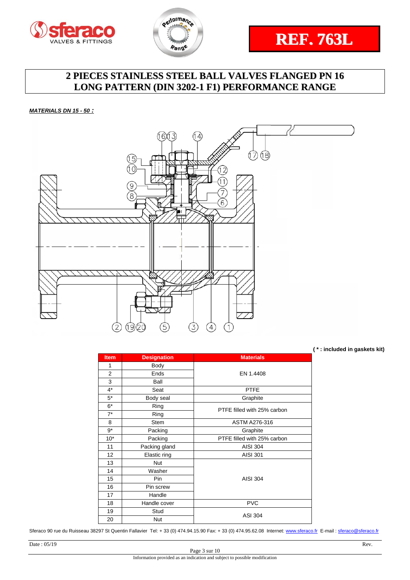



#### *MATERIALS DN 15 - 50 :*



**( \* : included in gaskets kit)**

| <b>Item</b>    | <b>Designation</b> | <b>Materials</b>            |
|----------------|--------------------|-----------------------------|
| 1              | Body               |                             |
| $\overline{2}$ | Ends               | EN 1.4408                   |
| 3              | Ball               |                             |
| $4^*$          | Seat               | <b>PTFE</b>                 |
| $5*$           | Body seal          | Graphite                    |
| $6*$           | Ring               | PTFE filled with 25% carbon |
| $7^*$          | Ring               |                             |
| 8              | Stem               | ASTM A276-316               |
| $9*$           | Packing            | Graphite                    |
| $10*$          | Packing            | PTFE filled with 25% carbon |
| 11             | Packing gland      | <b>AISI 304</b>             |
| 12             | Elastic ring       | <b>AISI 301</b>             |
| 13             | <b>Nut</b>         |                             |
| 14             | Washer             |                             |
| 15             | Pin                | AISI 304                    |
| 16             | Pin screw          |                             |
| 17             | Handle             |                             |
| 18             | Handle cover       | <b>PVC</b>                  |
| 19             | Stud               |                             |
| 20             | <b>Nut</b>         | <b>ASI 304</b>              |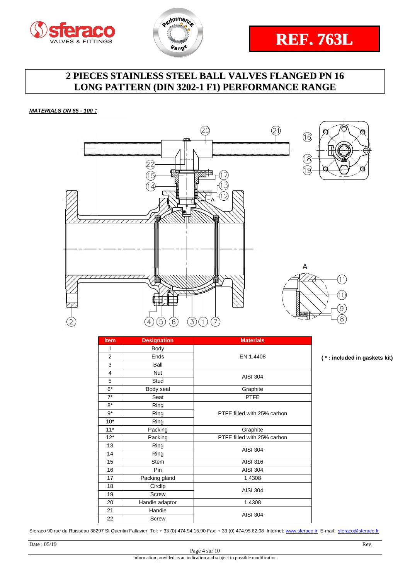



*MATERIALS DN 65 - 100 :*



| <b>Item</b>    | <b>Designation</b> | <b>Materials</b>            |
|----------------|--------------------|-----------------------------|
| 1              | Body               |                             |
| $\overline{2}$ | Ends               | EN 1.4408                   |
| 3              | Ball               |                             |
| 4              | <b>Nut</b>         | <b>AISI 304</b>             |
| 5              | Stud               |                             |
| $6*$           | Body seal          | Graphite                    |
| $7*$           | Seat               | <b>PTFE</b>                 |
| 8*             | Ring               |                             |
| $9*$           | Ring               | PTFE filled with 25% carbon |
| $10*$          | Ring               |                             |
| $11*$          | Packing            | Graphite                    |
| $12*$          | Packing            | PTFE filled with 25% carbon |
| 13             | Ring               | <b>AISI 304</b>             |
| 14             | Ring               |                             |
| 15             | <b>Stem</b>        | AISI 316                    |
| 16             | Pin                | <b>AISI 304</b>             |
| 17             | Packing gland      | 1.4308                      |
| 18             | Circlip            | <b>AISI 304</b>             |
| 19             | <b>Screw</b>       |                             |
| 20             | Handle adaptor     | 1.4308                      |
| 21             | Handle             | <b>AISI 304</b>             |
| 22             | <b>Screw</b>       |                             |

Sferaco 90 rue du Ruisseau 38297 St Quentin Fallavier Tel: + 33 (0) 474.94.15.90 Fax: + 33 (0) 474.95.62.08 Internet: [www.sferaco.fr](http://www.sferaco.fr/) E-mail : [sferaco@sferaco.fr](mailto:sferaco@sferaco.fr)

**( \* : included in gaskets kit)**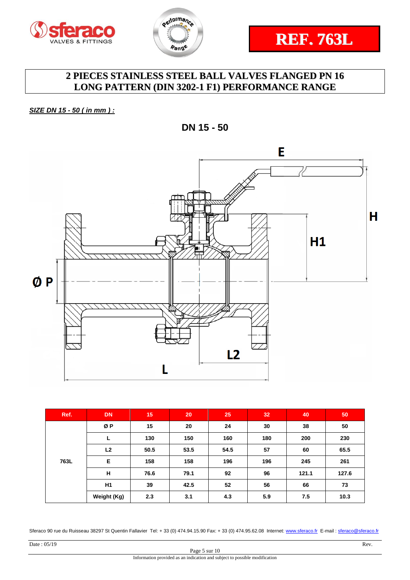



*SIZE DN 15 - 50 ( in mm ) :*

**DN 15 - 50**



| Ref. | <b>DN</b>      | 15   | 20   | 25   | 32  | 40    | 50    |
|------|----------------|------|------|------|-----|-------|-------|
| 763L | ØP             | 15   | 20   | 24   | 30  | 38    | 50    |
|      | L              | 130  | 150  | 160  | 180 | 200   | 230   |
|      | L <sub>2</sub> | 50.5 | 53.5 | 54.5 | 57  | 60    | 65.5  |
|      | Е              | 158  | 158  | 196  | 196 | 245   | 261   |
|      | H              | 76.6 | 79.1 | 92   | 96  | 121.1 | 127.6 |
|      | H <sub>1</sub> | 39   | 42.5 | 52   | 56  | 66    | 73    |
|      | Weight (Kg)    | 2.3  | 3.1  | 4.3  | 5.9 | 7.5   | 10.3  |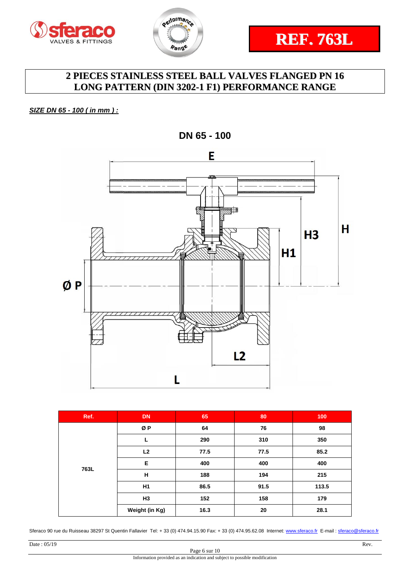



### *SIZE DN 65 - 100 ( in mm ) :*



**DN 65 - 100**

| Ref. | <b>DN</b>      | 65   | 80   | 100   |
|------|----------------|------|------|-------|
|      | ØP             | 64   | 76   | 98    |
|      |                | 290  | 310  | 350   |
|      | L2             | 77.5 | 77.5 | 85.2  |
| 763L | E              | 400  | 400  | 400   |
|      | н              | 188  | 194  | 215   |
|      | H1             | 86.5 | 91.5 | 113.5 |
|      | H <sub>3</sub> | 152  | 158  | 179   |
|      | Weight (in Kg) | 16.3 | 20   | 28.1  |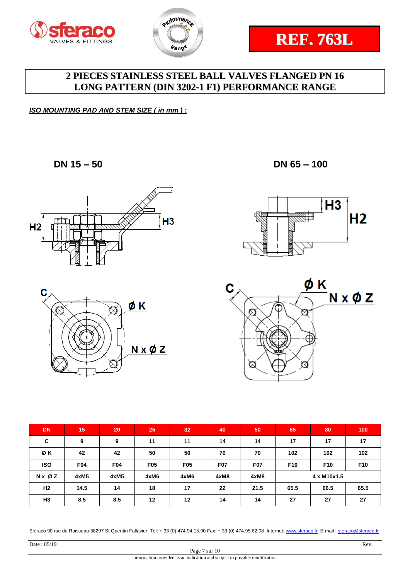



*ISO MOUNTING PAD AND STEM SIZE ( in mm ) :*

**DN 15 – 50 DN 65 – 100**









| <b>DN</b>      | 15         | 20         | 25         | 32         | 40         | 50         | 65              | 80              | 100             |
|----------------|------------|------------|------------|------------|------------|------------|-----------------|-----------------|-----------------|
| C              | 9          | 9          | 11         | 11         | 14         | 14         | 17              | 17              | 17              |
| ØΚ             | 42         | 42         | 50         | 50         | 70         | 70         | 102             | 102             | 102             |
| <b>ISO</b>     | <b>F04</b> | <b>F04</b> | <b>F05</b> | <b>F05</b> | <b>F07</b> | <b>F07</b> | F <sub>10</sub> | F <sub>10</sub> | F <sub>10</sub> |
| N x Ø Z        | 4xM5       | 4xM5       | 4xM6       | 4xM6       | 4xM8       | 4xM8       | 4 x M10x1.5     |                 |                 |
| H <sub>2</sub> | 14.5       | 14         | 18         | 17         | 22         | 21.5       | 65.5            | 66.5            | 65.5            |
| H <sub>3</sub> | 8.5        | 8.5        | 12         | 12         | 14         | 14         | 27              | 27              | 27              |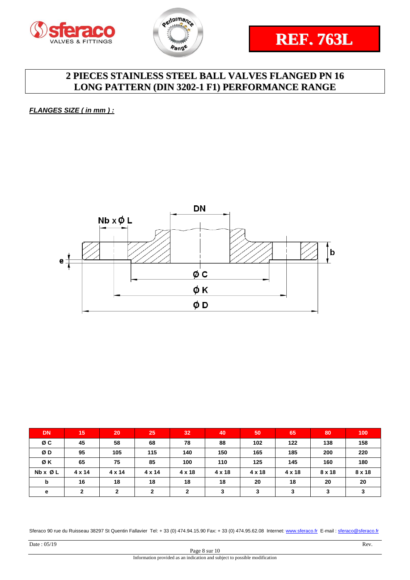



*FLANGES SIZE ( in mm ) :*



| <b>DN</b>               | 15            | 20            | 25            | 32     | 40     | 50            | 65            | 80            | 100    |
|-------------------------|---------------|---------------|---------------|--------|--------|---------------|---------------|---------------|--------|
| øс                      | 45            | 58            | 68            | 78     | 88     | 102           | 122           | 138           | 158    |
| ØD                      | 95            | 105           | 115           | 140    | 150    | 165           | 185           | 200           | 220    |
| ØK                      | 65            | 75            | 85            | 100    | 110    | 125           | 145           | 160           | 180    |
| $Nb \times \emptyset$ L | $4 \times 14$ | $4 \times 14$ | $4 \times 14$ | 4 x 18 | 4 x 18 | $4 \times 18$ | $4 \times 18$ | $8 \times 18$ | 8 x 18 |
| b                       | 16            | 18            | 18            | 18     | 18     | 20            | 18            | 20            | 20     |
| е                       | ◠             | $\mathbf{2}$  | 2             | າ      | 3      | 3             | 3             | 3             |        |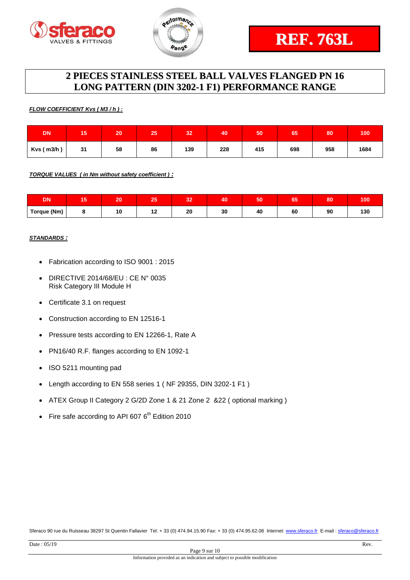



#### *FLOW COEFFICIENT Kvs ( M3 / h ) :*

| <b>DN</b>      | 15 | 20 | 25 | 32  | 40  | 50  | 65  | 80  | 100  |
|----------------|----|----|----|-----|-----|-----|-----|-----|------|
| $Kvs$ ( m3/h ) | 31 | 58 | 86 | 139 | 228 | 415 | 698 | 958 | 1684 |

*TORQUE VALUES ( in Nm without safety coefficient ) :*

| <b>DN</b>   | --<br>œ | 20 | --  | $\sim$<br>w | 40 | <b>Fo</b><br>JU | --<br>כט | 80 | 100 |
|-------------|---------|----|-----|-------------|----|-----------------|----------|----|-----|
| Torque (Nm) |         |    | . . | 20          | 30 | 40              | 60       | 90 | 130 |

#### *STANDARDS :*

- Fabrication according to ISO 9001 : 2015
- DIRECTIVE 2014/68/EU : CE N° 0035 Risk Category III Module H
- Certificate 3.1 on request
- Construction according to EN 12516-1
- Pressure tests according to EN 12266-1, Rate A
- PN16/40 R.F. flanges according to EN 1092-1
- ISO 5211 mounting pad
- Length according to EN 558 series 1 ( NF 29355, DIN 3202-1 F1 )
- ATEX Group II Category 2 G/2D Zone 1 & 21 Zone 2 &22 ( optional marking )
- Fire safe according to API 607  $6^{th}$  Edition 2010